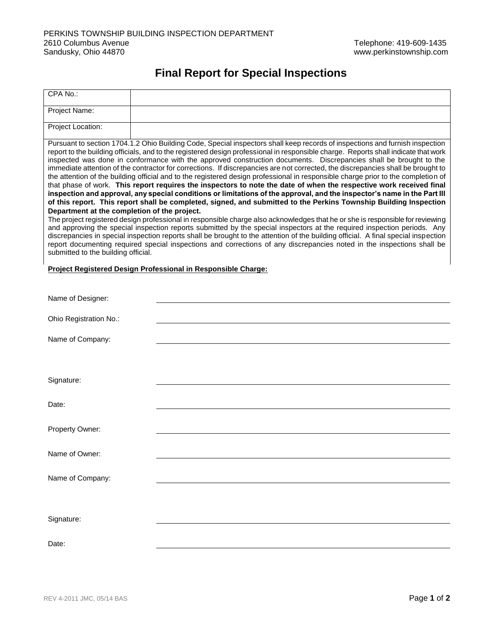## **Final Report for Special Inspections**

| CPA No.:                                                                                                                                                                                                                                                                                                                                                                                                                                                                                                                                                                                                                                                                                                                                                                                                                                                                                                                                                                                                                                                                                                                                                                                                                                                                                                                                                                                                                                                                                                                                                                                                                                                       |  |  |  |  |  |  |
|----------------------------------------------------------------------------------------------------------------------------------------------------------------------------------------------------------------------------------------------------------------------------------------------------------------------------------------------------------------------------------------------------------------------------------------------------------------------------------------------------------------------------------------------------------------------------------------------------------------------------------------------------------------------------------------------------------------------------------------------------------------------------------------------------------------------------------------------------------------------------------------------------------------------------------------------------------------------------------------------------------------------------------------------------------------------------------------------------------------------------------------------------------------------------------------------------------------------------------------------------------------------------------------------------------------------------------------------------------------------------------------------------------------------------------------------------------------------------------------------------------------------------------------------------------------------------------------------------------------------------------------------------------------|--|--|--|--|--|--|
| Project Name:                                                                                                                                                                                                                                                                                                                                                                                                                                                                                                                                                                                                                                                                                                                                                                                                                                                                                                                                                                                                                                                                                                                                                                                                                                                                                                                                                                                                                                                                                                                                                                                                                                                  |  |  |  |  |  |  |
| Project Location:                                                                                                                                                                                                                                                                                                                                                                                                                                                                                                                                                                                                                                                                                                                                                                                                                                                                                                                                                                                                                                                                                                                                                                                                                                                                                                                                                                                                                                                                                                                                                                                                                                              |  |  |  |  |  |  |
| Pursuant to section 1704.1.2 Ohio Building Code, Special inspectors shall keep records of inspections and furnish inspection<br>report to the building officials, and to the registered design professional in responsible charge. Reports shall indicate that work<br>inspected was done in conformance with the approved construction documents. Discrepancies shall be brought to the<br>immediate attention of the contractor for corrections. If discrepancies are not corrected, the discrepancies shall be brought to<br>the attention of the building official and to the registered design professional in responsible charge prior to the completion of<br>that phase of work. This report requires the inspectors to note the date of when the respective work received final<br>inspection and approval, any special conditions or limitations of the approval, and the inspector's name in the Part III<br>of this report. This report shall be completed, signed, and submitted to the Perkins Township Building Inspection<br>Department at the completion of the project.<br>The project registered design professional in responsible charge also acknowledges that he or she is responsible for reviewing<br>and approving the special inspection reports submitted by the special inspectors at the required inspection periods. Any<br>discrepancies in special inspection reports shall be brought to the attention of the building official. A final special inspection<br>report documenting required special inspections and corrections of any discrepancies noted in the inspections shall be<br>submitted to the building official. |  |  |  |  |  |  |
| Project Registered Design Professional in Responsible Charge:                                                                                                                                                                                                                                                                                                                                                                                                                                                                                                                                                                                                                                                                                                                                                                                                                                                                                                                                                                                                                                                                                                                                                                                                                                                                                                                                                                                                                                                                                                                                                                                                  |  |  |  |  |  |  |
| Name of Designer:                                                                                                                                                                                                                                                                                                                                                                                                                                                                                                                                                                                                                                                                                                                                                                                                                                                                                                                                                                                                                                                                                                                                                                                                                                                                                                                                                                                                                                                                                                                                                                                                                                              |  |  |  |  |  |  |
| Ohio Registration No.:                                                                                                                                                                                                                                                                                                                                                                                                                                                                                                                                                                                                                                                                                                                                                                                                                                                                                                                                                                                                                                                                                                                                                                                                                                                                                                                                                                                                                                                                                                                                                                                                                                         |  |  |  |  |  |  |
| Name of Company:                                                                                                                                                                                                                                                                                                                                                                                                                                                                                                                                                                                                                                                                                                                                                                                                                                                                                                                                                                                                                                                                                                                                                                                                                                                                                                                                                                                                                                                                                                                                                                                                                                               |  |  |  |  |  |  |
| Signature:                                                                                                                                                                                                                                                                                                                                                                                                                                                                                                                                                                                                                                                                                                                                                                                                                                                                                                                                                                                                                                                                                                                                                                                                                                                                                                                                                                                                                                                                                                                                                                                                                                                     |  |  |  |  |  |  |
|                                                                                                                                                                                                                                                                                                                                                                                                                                                                                                                                                                                                                                                                                                                                                                                                                                                                                                                                                                                                                                                                                                                                                                                                                                                                                                                                                                                                                                                                                                                                                                                                                                                                |  |  |  |  |  |  |
| Date:                                                                                                                                                                                                                                                                                                                                                                                                                                                                                                                                                                                                                                                                                                                                                                                                                                                                                                                                                                                                                                                                                                                                                                                                                                                                                                                                                                                                                                                                                                                                                                                                                                                          |  |  |  |  |  |  |
| Property Owner:                                                                                                                                                                                                                                                                                                                                                                                                                                                                                                                                                                                                                                                                                                                                                                                                                                                                                                                                                                                                                                                                                                                                                                                                                                                                                                                                                                                                                                                                                                                                                                                                                                                |  |  |  |  |  |  |
| Name of Owner:                                                                                                                                                                                                                                                                                                                                                                                                                                                                                                                                                                                                                                                                                                                                                                                                                                                                                                                                                                                                                                                                                                                                                                                                                                                                                                                                                                                                                                                                                                                                                                                                                                                 |  |  |  |  |  |  |
| Name of Company:                                                                                                                                                                                                                                                                                                                                                                                                                                                                                                                                                                                                                                                                                                                                                                                                                                                                                                                                                                                                                                                                                                                                                                                                                                                                                                                                                                                                                                                                                                                                                                                                                                               |  |  |  |  |  |  |
|                                                                                                                                                                                                                                                                                                                                                                                                                                                                                                                                                                                                                                                                                                                                                                                                                                                                                                                                                                                                                                                                                                                                                                                                                                                                                                                                                                                                                                                                                                                                                                                                                                                                |  |  |  |  |  |  |
| Signature:                                                                                                                                                                                                                                                                                                                                                                                                                                                                                                                                                                                                                                                                                                                                                                                                                                                                                                                                                                                                                                                                                                                                                                                                                                                                                                                                                                                                                                                                                                                                                                                                                                                     |  |  |  |  |  |  |
| Date:                                                                                                                                                                                                                                                                                                                                                                                                                                                                                                                                                                                                                                                                                                                                                                                                                                                                                                                                                                                                                                                                                                                                                                                                                                                                                                                                                                                                                                                                                                                                                                                                                                                          |  |  |  |  |  |  |